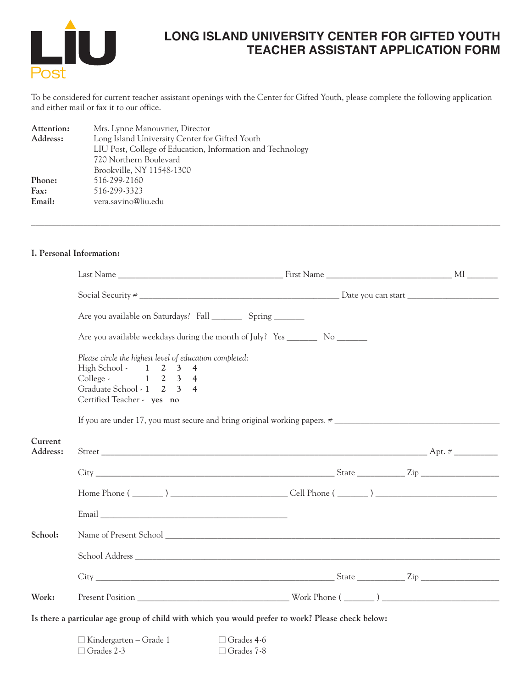

# **LONG ISLAND UNIVERSITY CENTER FOR GIFTED YOUTH TEACHER ASSISTANT APPLICATION FORM**

To be considered for current teacher assistant openings with the Center for Gifted Youth, please complete the following application and either mail or fax it to our office.

| Attention: | Mrs. Lynne Manouvrier, Director                            |
|------------|------------------------------------------------------------|
| Address:   | Long Island University Center for Gifted Youth             |
|            | LIU Post, College of Education, Information and Technology |
|            | 720 Northern Boulevard                                     |
|            | Brookville, NY 11548-1300                                  |
| Phone:     | 516-299-2160                                               |
| Fax:       | 516-299-3323                                               |
| Email:     | vera.savino@liu.edu                                        |
|            |                                                            |

## **I. Personal Information:**

|                     | Are you available on Saturdays? Fall ____________ Spring _________                                                                                                                   |                   |  |
|---------------------|--------------------------------------------------------------------------------------------------------------------------------------------------------------------------------------|-------------------|--|
|                     | Are you available weekdays during the month of July? Yes __________ No _________                                                                                                     |                   |  |
|                     | Please circle the highest level of education completed:<br>High School - $1 \quad 2 \quad 3 \quad 4$<br>College - 1 2 3 4<br>Graduate School - 1 2 3 4<br>Certified Teacher - yes no |                   |  |
|                     |                                                                                                                                                                                      |                   |  |
| Current<br>Address: |                                                                                                                                                                                      |                   |  |
|                     |                                                                                                                                                                                      |                   |  |
|                     |                                                                                                                                                                                      |                   |  |
|                     |                                                                                                                                                                                      |                   |  |
| School:             |                                                                                                                                                                                      |                   |  |
|                     |                                                                                                                                                                                      |                   |  |
|                     |                                                                                                                                                                                      |                   |  |
| Work:               |                                                                                                                                                                                      |                   |  |
|                     | Is there a particular age group of child with which you would prefer to work? Please check below:                                                                                    |                   |  |
|                     | $\Box$ Kindergarten – Grade 1<br>$\Box$ Grades 2-3 $\Box$ Grades 7-8                                                                                                                 | $\Box$ Grades 4-6 |  |